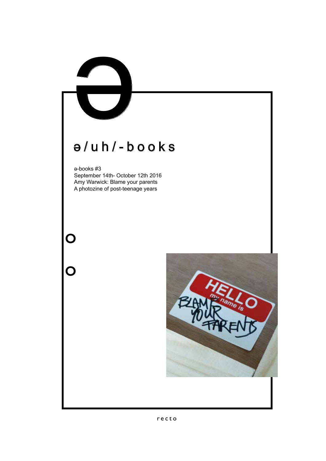## ə ə/uh/-books

ə-books #3 September 14th- October 12th 2016 Amy Warwick: Blame your parents A photozine of post-teenage years

o

o

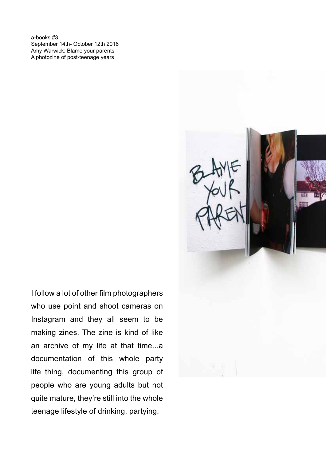ə-books #3 September 14th- October 12th 2016 Amy Warwick: Blame your parents A photozine of post-teenage years

I follow a lot of other film photographers who use point and shoot cameras on Instagram and they all seem to be making zines. The zine is kind of like an archive of my life at that time...a documentation of this whole party life thing, documenting this group of people who are young adults but not quite mature, they're still into the whole teenage lifestyle of drinking, partying.

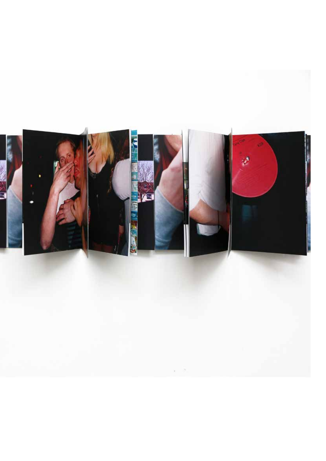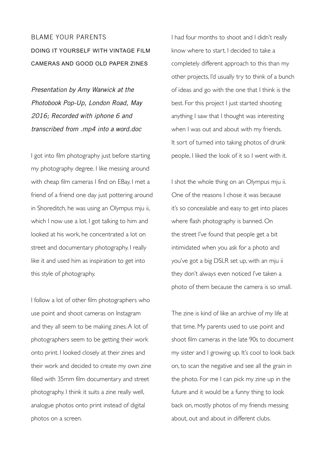## Blame your parents DOING IT YOURSELF WITH VINTAGE FILM CAMERAS AND GOOD OLD PAPER ZINES

*Presentation by Amy Warwick at the Photobook Pop-Up, London Road, May 2016; Recorded with iphone 6 and transcribed from .mp4 into a word.doc* 

I got into film photography just before starting my photography degree. I like messing around with cheap film cameras I find on EBay. I met a friend of a friend one day just pottering around in Shoreditch, he was using an Olympus mju ii, which I now use a lot. I got talking to him and looked at his work, he concentrated a lot on street and documentary photography. I really like it and used him as inspiration to get into this style of photography.

I follow a lot of other film photographers who use point and shoot cameras on Instagram and they all seem to be making zines. A lot of photographers seem to be getting their work onto print. I looked closely at their zines and their work and decided to create my own zine filled with 35mm film documentary and street photography. I think it suits a zine really well, analogue photos onto print instead of digital photos on a screen.

I had four months to shoot and I didn't really know where to start. I decided to take a completely different approach to this than my other projects, I'd usually try to think of a bunch of ideas and go with the one that I think is the best. For this project I just started shooting anything I saw that I thought was interesting when I was out and about with my friends. It sort of turned into taking photos of drunk people, I liked the look of it so I went with it.

I shot the whole thing on an Olympus mju ii. One of the reasons I chose it was because it's so concealable and easy to get into places where flash photography is banned. On the street I've found that people get a bit intimidated when you ask for a photo and you've got a big DSLR set up, with an mju ii they don't always even noticed I've taken a photo of them because the camera is so small.

The zine is kind of like an archive of my life at that time. My parents used to use point and shoot film cameras in the late 90s to document my sister and I growing up. It's cool to look back on, to scan the negative and see all the grain in the photo. For me I can pick my zine up in the future and it would be a funny thing to look back on, mostly photos of my friends messing about, out and about in different clubs.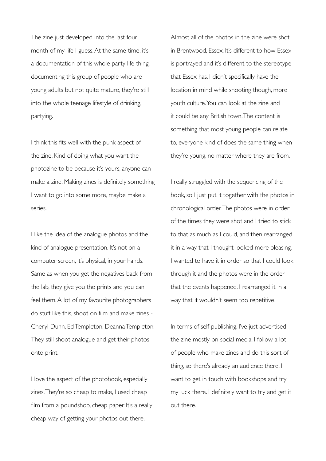The zine just developed into the last four month of my life I guess. At the same time, it's a documentation of this whole party life thing, documenting this group of people who are young adults but not quite mature, they're still into the whole teenage lifestyle of drinking, partying.

I think this fits well with the punk aspect of the zine. Kind of doing what you want the photozine to be because it's yours, anyone can make a zine. Making zines is definitely something I want to go into some more, maybe make a series.

I like the idea of the analogue photos and the kind of analogue presentation. It's not on a computer screen, it's physical, in your hands. Same as when you get the negatives back from the lab, they give you the prints and you can feel them. A lot of my favourite photographers do stuff like this, shoot on film and make zines - Cheryl Dunn, Ed Templeton, Deanna Templeton. They still shoot analogue and get their photos onto print.

I love the aspect of the photobook, especially zines. They're so cheap to make, I used cheap film from a poundshop, cheap paper. It's a really cheap way of getting your photos out there.

Almost all of the photos in the zine were shot in Brentwood, Essex. It's different to how Essex is portrayed and it's different to the stereotype that Essex has. I didn't specifically have the location in mind while shooting though, more youth culture. You can look at the zine and it could be any British town. The content is something that most young people can relate to, everyone kind of does the same thing when they're young, no matter where they are from.

I really struggled with the sequencing of the book, so I just put it together with the photos in chronological order. The photos were in order of the times they were shot and I tried to stick to that as much as I could, and then rearranged it in a way that I thought looked more pleasing. I wanted to have it in order so that I could look through it and the photos were in the order that the events happened. I rearranged it in a way that it wouldn't seem too repetitive.

In terms of self-publishing, I've just advertised the zine mostly on social media. I follow a lot of people who make zines and do this sort of thing, so there's already an audience there. I want to get in touch with bookshops and try my luck there. I definitely want to try and get it out there.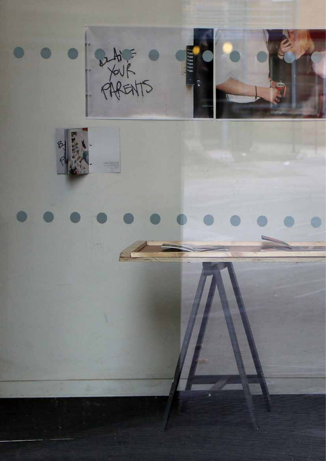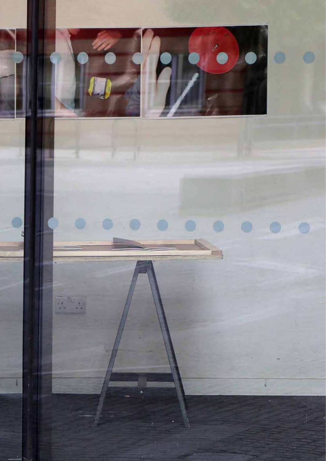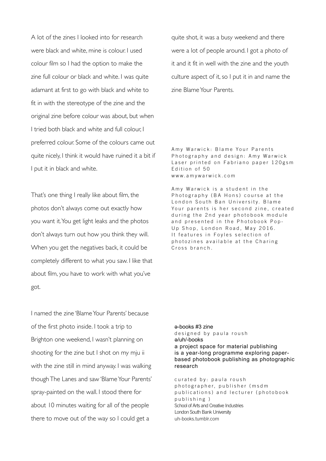A lot of the zines I looked into for research were black and white, mine is colour. I used colour film so I had the option to make the zine full colour or black and white. I was quite adamant at first to go with black and white to fit in with the stereotype of the zine and the original zine before colour was about, but when I tried both black and white and full colour, I preferred colour. Some of the colours came out quite nicely, I think it would have ruined it a bit if I put it in black and white.

That's one thing I really like about film, the photos don't always come out exactly how you want it. You get light leaks and the photos don't always turn out how you think they will. When you get the negatives back, it could be completely different to what you saw. I like that about film, you have to work with what you've got.

I named the zine 'Blame Your Parents' because of the first photo inside. I took a trip to Brighton one weekend, I wasn't planning on shooting for the zine but I shot on my mju ii with the zine still in mind anyway. I was walking though The Lanes and saw 'Blame Your Parents' spray-painted on the wall. I stood there for about 10 minutes waiting for all of the people there to move out of the way so I could get a

quite shot, it was a busy weekend and there were a lot of people around. I got a photo of it and it fit in well with the zine and the youth culture aspect of it, so I put it in and name the zine Blame Your Parents.

Amy Warwick: Blame Your Parents P hotography and design: A my Warwick Laser printed on Fabriano paper 120gsm E dition of 50 www.amywarwick.com

Amy Warwick is a student in the Photography (BA Hons) course at the London South Ban University. Blame Your parents is her second zine, created during the 2nd year photobook module and presented in the Photobook Pop-Up Shop, London Road, May 2016. It features in Foyles selection of photozines available at the Charing Cross branch.

 ə-books #3 zine designed by paula roush ə/uh/-books a project space for material publishing is a year-long programme exploring paperbased photobook publishing as photographic research

curated by: paula roush photographer, publisher (msdm publications) and lecturer (photobook publishing ) School of Arts and Creative Industries London South Bank University uh-books.tumblr.com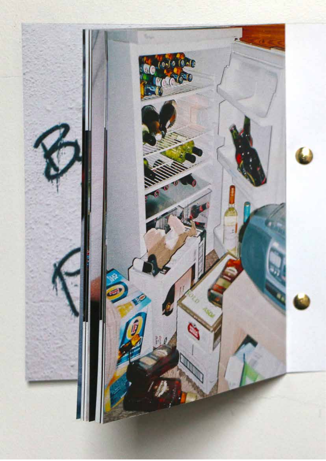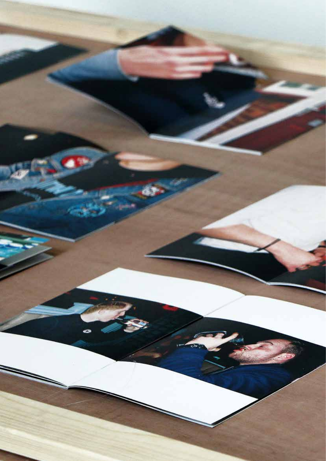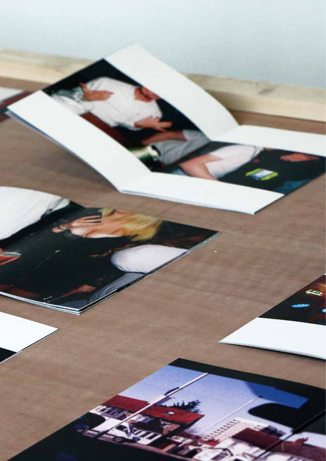